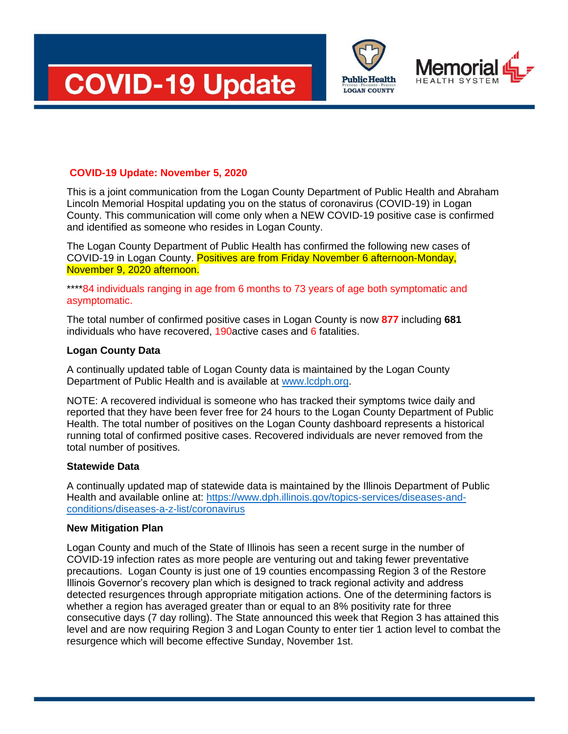





# **COVID-19 Update: November 5, 2020**

This is a joint communication from the Logan County Department of Public Health and Abraham Lincoln Memorial Hospital updating you on the status of coronavirus (COVID-19) in Logan County. This communication will come only when a NEW COVID-19 positive case is confirmed and identified as someone who resides in Logan County.

The Logan County Department of Public Health has confirmed the following new cases of COVID-19 in Logan County. Positives are from Friday November 6 afternoon-Monday, November 9, 2020 afternoon.

### \*\*\*\*84 individuals ranging in age from 6 months to 73 years of age both symptomatic and asymptomatic.

The total number of confirmed positive cases in Logan County is now **877** including **681** individuals who have recovered, 190active cases and 6 fatalities.

### **Logan County Data**

A continually updated table of Logan County data is maintained by the Logan County Department of Public Health and is available at [www.lcdph.org.](http://www.lcdph.org/)

NOTE: A recovered individual is someone who has tracked their symptoms twice daily and reported that they have been fever free for 24 hours to the Logan County Department of Public Health. The total number of positives on the Logan County dashboard represents a historical running total of confirmed positive cases. Recovered individuals are never removed from the total number of positives.

## **Statewide Data**

A continually updated map of statewide data is maintained by the Illinois Department of Public Health and available online at: [https://www.dph.illinois.gov/topics-services/diseases-and](https://www.dph.illinois.gov/topics-services/diseases-and-conditions/diseases-a-z-list/coronavirus)[conditions/diseases-a-z-list/coronavirus](https://www.dph.illinois.gov/topics-services/diseases-and-conditions/diseases-a-z-list/coronavirus)

#### **New Mitigation Plan**

Logan County and much of the State of Illinois has seen a recent surge in the number of COVID-19 infection rates as more people are venturing out and taking fewer preventative precautions. Logan County is just one of 19 counties encompassing Region 3 of the Restore Illinois Governor's recovery plan which is designed to track regional activity and address detected resurgences through appropriate mitigation actions. One of the determining factors is whether a region has averaged greater than or equal to an 8% positivity rate for three consecutive days (7 day rolling). The State announced this week that Region 3 has attained this level and are now requiring Region 3 and Logan County to enter tier 1 action level to combat the resurgence which will become effective Sunday, November 1st.